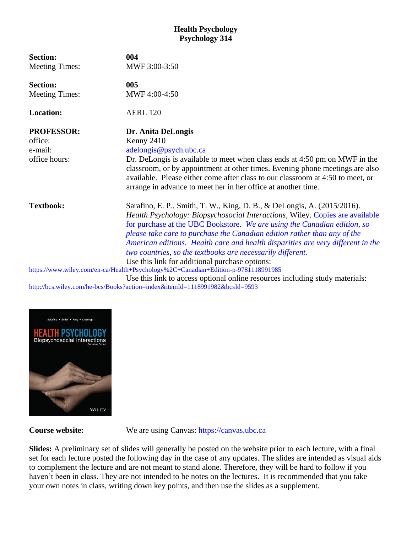## **Health Psychology Psychology 314**

| <b>Section:</b>                                                                   | 004                                                                             |  |  |
|-----------------------------------------------------------------------------------|---------------------------------------------------------------------------------|--|--|
| <b>Meeting Times:</b>                                                             | MWF 3:00-3:50                                                                   |  |  |
| <b>Section:</b>                                                                   | 005                                                                             |  |  |
| <b>Meeting Times:</b>                                                             | MWF 4:00-4:50                                                                   |  |  |
| <b>Location:</b>                                                                  | <b>AERL 120</b>                                                                 |  |  |
| <b>PROFESSOR:</b>                                                                 | Dr. Anita DeLongis                                                              |  |  |
| office:                                                                           | Kenny 2410                                                                      |  |  |
| e-mail:                                                                           | adelongis@psych.ubc.ca                                                          |  |  |
| office hours:                                                                     | Dr. DeLongis is available to meet when class ends at 4:50 pm on MWF in the      |  |  |
|                                                                                   | classroom, or by appointment at other times. Evening phone meetings are also    |  |  |
|                                                                                   | available. Please either come after class to our classroom at 4:50 to meet, or  |  |  |
|                                                                                   | arrange in advance to meet her in her office at another time.                   |  |  |
| <b>Textbook:</b>                                                                  | Sarafino, E. P., Smith, T. W., King, D. B., & DeLongis, A. (2015/2016).         |  |  |
|                                                                                   | Health Psychology: Biopsychosocial Interactions, Wiley. Copies are available    |  |  |
|                                                                                   | for purchase at the UBC Bookstore. We are using the Canadian edition, so        |  |  |
|                                                                                   | please take care to purchase the Canadian edition rather than any of the        |  |  |
|                                                                                   | American editions. Health care and health disparities are very different in the |  |  |
|                                                                                   | two countries, so the textbooks are necessarily different.                      |  |  |
|                                                                                   | Use this link for additional purchase options:                                  |  |  |
| https://www.wiley.com/en-ca/Health+Psychology%2C+Canadian+Edition-p-9781118991985 |                                                                                 |  |  |
|                                                                                   | Use this link to access optional online resources including study materials:    |  |  |
| http://bcs.wiley.com/he-bcs/Books?action=index&itemId=1118991982&bcsId=9593       |                                                                                 |  |  |



**Course website:** We are using Canvas: [https://canvas.ubc.ca](https://canvas.ubc.ca/)

**Slides:** A preliminary set of slides will generally be posted on the website prior to each lecture, with a final set for each lecture posted the following day in the case of any updates. The slides are intended as visual aids to complement the lecture and are not meant to stand alone. Therefore, they will be hard to follow if you haven't been in class. They are not intended to be notes on the lectures. It is recommended that you take your own notes in class, writing down key points, and then use the slides as a supplement.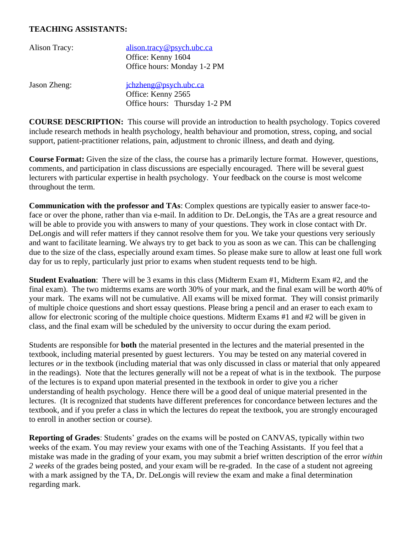## **TEACHING ASSISTANTS:**

| Alison Tracy: | alison.tracy@psych.ubc.ca     |
|---------------|-------------------------------|
|               | Office: Kenny 1604            |
|               | Office hours: Monday 1-2 PM   |
| Jason Zheng:  | jchzheng@psych.ubc.ca         |
|               | Office: Kenny 2565            |
|               | Office hours: Thursday 1-2 PM |

**COURSE DESCRIPTION:** This course will provide an introduction to health psychology. Topics covered include research methods in health psychology, health behaviour and promotion, stress, coping, and social support, patient-practitioner relations, pain, adjustment to chronic illness, and death and dying.

**Course Format:** Given the size of the class, the course has a primarily lecture format. However, questions, comments, and participation in class discussions are especially encouraged. There will be several guest lecturers with particular expertise in health psychology. Your feedback on the course is most welcome throughout the term.

**Communication with the professor and TAs**: Complex questions are typically easier to answer face-toface or over the phone, rather than via e-mail. In addition to Dr. DeLongis, the TAs are a great resource and will be able to provide you with answers to many of your questions. They work in close contact with Dr. DeLongis and will refer matters if they cannot resolve them for you. We take your questions very seriously and want to facilitate learning. We always try to get back to you as soon as we can. This can be challenging due to the size of the class, especially around exam times. So please make sure to allow at least one full work day for us to reply, particularly just prior to exams when student requests tend to be high.

**Student Evaluation**: There will be 3 exams in this class (Midterm Exam #1, Midterm Exam #2, and the final exam). The two midterms exams are worth 30% of your mark, and the final exam will be worth 40% of your mark. The exams will not be cumulative. All exams will be mixed format. They will consist primarily of multiple choice questions and short essay questions. Please bring a pencil and an eraser to each exam to allow for electronic scoring of the multiple choice questions. Midterm Exams #1 and #2 will be given in class, and the final exam will be scheduled by the university to occur during the exam period.

Students are responsible for **both** the material presented in the lectures and the material presented in the textbook, including material presented by guest lecturers. You may be tested on any material covered in lectures *or* in the textbook (including material that was only discussed in class or material that only appeared in the readings). Note that the lectures generally will not be a repeat of what is in the textbook. The purpose of the lectures is to expand upon material presented in the textbook in order to give you a richer understanding of health psychology. Hence there will be a good deal of unique material presented in the lectures. (It is recognized that students have different preferences for concordance between lectures and the textbook, and if you prefer a class in which the lectures do repeat the textbook, you are strongly encouraged to enroll in another section or course).

**Reporting of Grades**: Students' grades on the exams will be posted on CANVAS, typically within two weeks of the exam. You may review your exams with one of the Teaching Assistants. If you feel that a mistake was made in the grading of your exam, you may submit a brief written description of the error *within 2 weeks* of the grades being posted, and your exam will be re-graded. In the case of a student not agreeing with a mark assigned by the TA, Dr. DeLongis will review the exam and make a final determination regarding mark.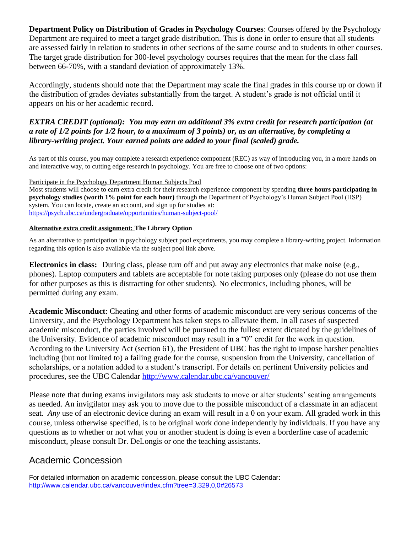**Department Policy on Distribution of Grades in Psychology Courses**: Courses offered by the Psychology Department are required to meet a target grade distribution. This is done in order to ensure that all students are assessed fairly in relation to students in other sections of the same course and to students in other courses. The target grade distribution for 300-level psychology courses requires that the mean for the class fall between 66-70%, with a standard deviation of approximately 13%.

Accordingly, students should note that the Department may scale the final grades in this course up or down if the distribution of grades deviates substantially from the target. A student's grade is not official until it appears on his or her academic record.

## *EXTRA CREDIT (optional): You may earn an additional 3% extra credit for research participation (at a rate of 1/2 points for 1/2 hour, to a maximum of 3 points) or, as an alternative, by completing a library-writing project. Your earned points are added to your final (scaled) grade.*

As part of this course, you may complete a research experience component (REC) as way of introducing you, in a more hands on and interactive way, to cutting edge research in psychology. You are free to choose one of two options:

Participate in the Psychology Department Human Subjects Pool

Most students will choose to earn extra credit for their research experience component by spending **three hours participating in psychology studies (worth 1% point for each hour)** through the Department of Psychology's Human Subject Pool (HSP) system. You can locate, create an account, and sign up for studies at: <https://psych.ubc.ca/undergraduate/opportunities/human-subject-pool/>

#### **Alternative extra credit assignment: The Library Option**

As an alternative to participation in psychology subject pool experiments, you may complete a library-writing project. Information regarding this option is also available via the subject pool link above.

**Electronics in class:** During class, please turn off and put away any electronics that make noise (e.g., phones). Laptop computers and tablets are acceptable for note taking purposes only (please do not use them for other purposes as this is distracting for other students). No electronics, including phones, will be permitted during any exam.

**Academic Misconduct**: Cheating and other forms of academic misconduct are very serious concerns of the University, and the Psychology Department has taken steps to alleviate them. In all cases of suspected academic misconduct, the parties involved will be pursued to the fullest extent dictated by the guidelines of the University. Evidence of academic misconduct may result in a "0" credit for the work in question. According to the University Act (section 61), the President of UBC has the right to impose harsher penalties including (but not limited to) a failing grade for the course, suspension from the University, cancellation of scholarships, or a notation added to a student's transcript. For details on pertinent University policies and procedures, see the UBC Calendar<http://www.calendar.ubc.ca/vancouver/>

Please note that during exams invigilators may ask students to move or alter students' seating arrangements as needed. An invigilator may ask you to move due to the possible misconduct of a classmate in an adjacent seat. *Any* use of an electronic device during an exam will result in a 0 on your exam. All graded work in this course, unless otherwise specified, is to be original work done independently by individuals. If you have any questions as to whether or not what you or another student is doing is even a borderline case of academic misconduct, please consult Dr. DeLongis or one the teaching assistants.

## Academic Concession

For detailed information on academic concession, please consult the UBC Calendar: <http://www.calendar.ubc.ca/vancouver/index.cfm?tree=3,329,0,0#26573>